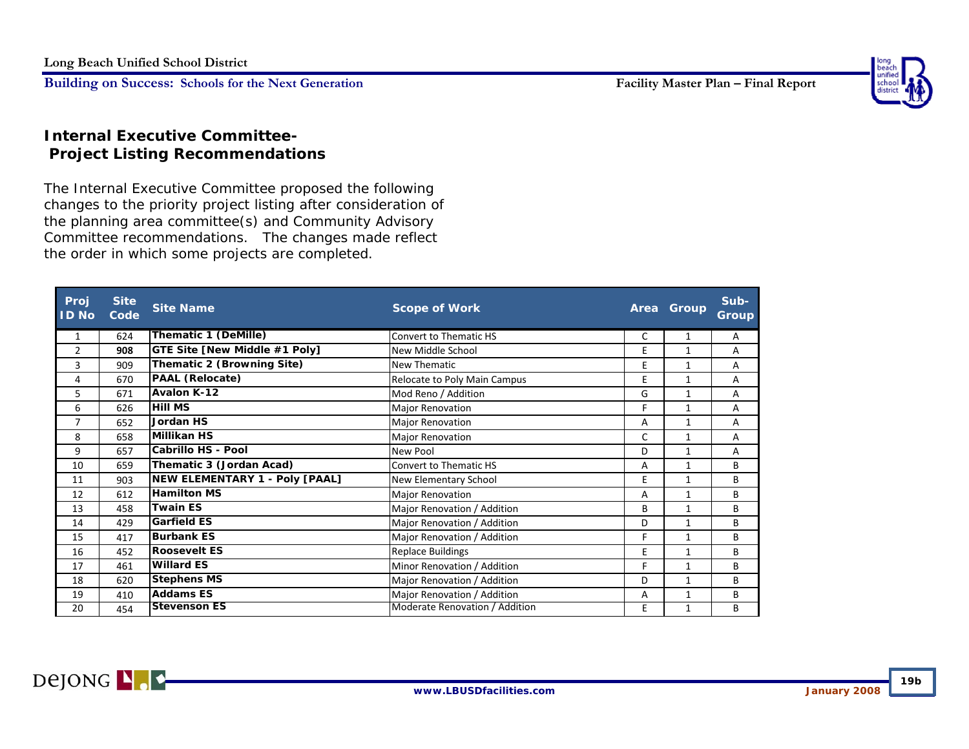

## **Internal Executive Committee- Project Listing Recommendations**

The Internal Executive Committee proposed the following changes to the priority project listing after consideration of the planning area committee(s) and Community Advisory Committee recommendations. The changes made reflect the order in which some projects are completed.

| Proj<br><b>ID No</b> | <b>Site</b><br>Code | <b>Site Name</b>               | <b>Scope of Work</b>           | Area | Group        | Sub-<br>Group |
|----------------------|---------------------|--------------------------------|--------------------------------|------|--------------|---------------|
| 1                    | 624                 | <b>Thematic 1 (DeMille)</b>    | Convert to Thematic HS         | C    | $\mathbf{1}$ | A             |
| $\overline{2}$       | 908                 | GTE Site [New Middle #1 Poly]  | New Middle School              | E    | 1            | A             |
| 3                    | 909                 | Thematic 2 (Browning Site)     | New Thematic                   | E    | $\mathbf{1}$ | A             |
| 4                    | 670                 | PAAL (Relocate)                | Relocate to Poly Main Campus   | E    | $\mathbf{1}$ | A             |
| 5                    | 671                 | Avalon K-12                    | Mod Reno / Addition            | G    | $\mathbf{1}$ | A             |
| 6                    | 626                 | <b>Hill MS</b>                 | <b>Major Renovation</b>        | F    | $\mathbf{1}$ | A             |
| $\overline{7}$       | 652                 | <b>Jordan HS</b>               | <b>Major Renovation</b>        | A    | $\mathbf{1}$ | A             |
| 8                    | 658                 | Millikan HS                    | <b>Major Renovation</b>        | C    | $\mathbf{1}$ | A             |
| 9                    | 657                 | Cabrillo HS - Pool             | New Pool                       | D    | $\mathbf{1}$ | A             |
| 10                   | 659                 | Thematic 3 (Jordan Acad)       | Convert to Thematic HS         | A    | $\mathbf{1}$ | B             |
| 11                   | 903                 | NEW ELEMENTARY 1 - Poly [PAAL] | New Elementary School          | E.   | $\mathbf{1}$ | B             |
| 12                   | 612                 | <b>Hamilton MS</b>             | <b>Major Renovation</b>        | A    | 1            | B             |
| 13                   | 458                 | <b>Twain ES</b>                | Major Renovation / Addition    | B    | $\mathbf{1}$ | B             |
| 14                   | 429                 | <b>Garfield ES</b>             | Major Renovation / Addition    | D    | $\mathbf{1}$ | B             |
| 15                   | 417                 | <b>Burbank ES</b>              | Major Renovation / Addition    | F    | $\mathbf{1}$ | B             |
| 16                   | 452                 | <b>Roosevelt ES</b>            | <b>Replace Buildings</b>       | E    | $\mathbf{1}$ | B             |
| 17                   | 461                 | <b>Willard ES</b>              | Minor Renovation / Addition    | F    | $\mathbf{1}$ | B             |
| 18                   | 620                 | <b>Stephens MS</b>             | Major Renovation / Addition    | D    | $\mathbf{1}$ | B             |
| 19                   | 410                 | <b>Addams ES</b>               | Major Renovation / Addition    | A    | $\mathbf{1}$ | В             |
| 20                   | 454                 | <b>Stevenson ES</b>            | Moderate Renovation / Addition | E    | 1            | В             |



**19b**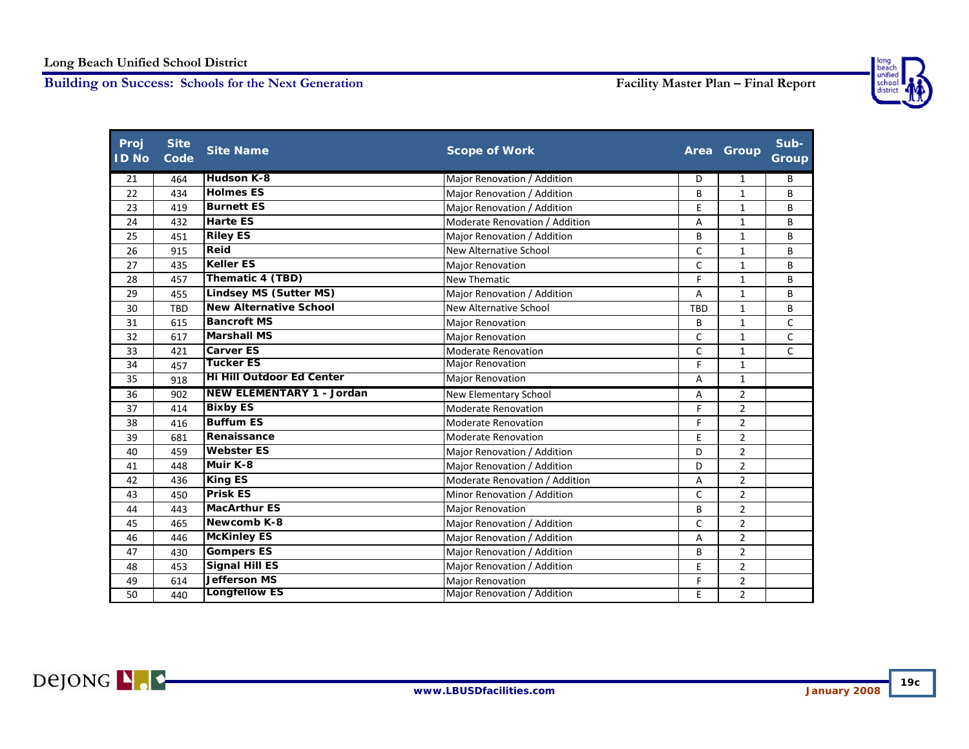

| Proj<br><b>ID No</b> | <b>Site</b><br>Code | <b>Site Name</b>                 | <b>Scope of Work</b>           |              | Area Group     | Sub-<br><b>Group</b> |
|----------------------|---------------------|----------------------------------|--------------------------------|--------------|----------------|----------------------|
| 21                   | 464                 | <b>Hudson K-8</b>                | Major Renovation / Addition    | D            | $\mathbf{1}$   | B                    |
| 22                   | 434                 | <b>Holmes ES</b>                 | Major Renovation / Addition    | B            | 1              | В                    |
| 23                   | 419                 | <b>Burnett ES</b>                | Major Renovation / Addition    | E            | $\mathbf{1}$   | В                    |
| 24                   | 432                 | <b>Harte ES</b>                  | Moderate Renovation / Addition | А            | $\mathbf{1}$   | B                    |
| 25                   | 451                 | <b>Riley ES</b>                  | Major Renovation / Addition    | B            | $\mathbf{1}$   | B                    |
| 26                   | 915                 | Reid                             | New Alternative School         | $\mathsf{C}$ | $\mathbf{1}$   | B                    |
| 27                   | 435                 | <b>Keller ES</b>                 | <b>Major Renovation</b>        | $\mathsf{C}$ | $\mathbf{1}$   | B                    |
| 28                   | 457                 | Thematic 4 (TBD)                 | <b>New Thematic</b>            | F            | $\mathbf{1}$   | B                    |
| 29                   | 455                 | <b>Lindsey MS (Sutter MS)</b>    | Major Renovation / Addition    | А            | $\mathbf{1}$   | В                    |
| 30                   | <b>TBD</b>          | <b>New Alternative School</b>    | <b>New Alternative School</b>  | <b>TBD</b>   | $\mathbf{1}$   | В                    |
| 31                   | 615                 | <b>Bancroft MS</b>               | <b>Major Renovation</b>        | B            | $\mathbf{1}$   | C                    |
| 32                   | 617                 | <b>Marshall MS</b>               | <b>Major Renovation</b>        | $\mathsf{C}$ | $\mathbf{1}$   | $\mathsf{C}$         |
| 33                   | 421                 | <b>Carver ES</b>                 | <b>Moderate Renovation</b>     | $\mathsf{C}$ | $\mathbf{1}$   | $\mathsf{C}$         |
| 34                   | 457                 | Tucker ES                        | <b>Major Renovation</b>        | F            | $\mathbf{1}$   |                      |
| 35                   | 918                 | <b>Hi Hill Outdoor Ed Center</b> | <b>Major Renovation</b>        | A            | $\mathbf{1}$   |                      |
| 36                   | 902                 | <b>NEW ELEMENTARY 1 - Jordan</b> | New Elementary School          | Α            | 2              |                      |
| 37                   | 414                 | <b>Bixby ES</b>                  | <b>Moderate Renovation</b>     | F            | $\overline{2}$ |                      |
| 38                   | 416                 | <b>Buffum ES</b>                 | <b>Moderate Renovation</b>     | F            | $\overline{2}$ |                      |
| 39                   | 681                 | Renaissance                      | <b>Moderate Renovation</b>     | E            | $\overline{2}$ |                      |
| 40                   | 459                 | <b>Webster ES</b>                | Major Renovation / Addition    | D            | $\overline{2}$ |                      |
| 41                   | 448                 | Muir K-8                         | Major Renovation / Addition    | D            | $\overline{2}$ |                      |
| 42                   | 436                 | <b>King ES</b>                   | Moderate Renovation / Addition | Α            | $\overline{2}$ |                      |
| 43                   | 450                 | <b>Prisk ES</b>                  | Minor Renovation / Addition    | $\mathsf{C}$ | $\overline{2}$ |                      |
| 44                   | 443                 | <b>MacArthur ES</b>              | Major Renovation               | B            | $\overline{2}$ |                      |
| 45                   | 465                 | Newcomb K-8                      | Major Renovation / Addition    | $\mathsf{C}$ | $\overline{2}$ |                      |
| 46                   | 446                 | <b>McKinley ES</b>               | Major Renovation / Addition    | Α            | $\overline{2}$ |                      |
| 47                   | 430                 | <b>Gompers ES</b>                | Major Renovation / Addition    | B            | $\overline{2}$ |                      |
| 48                   | 453                 | <b>Signal Hill ES</b>            | Major Renovation / Addition    | E            | $\overline{2}$ |                      |
| 49                   | 614                 | <b>Jefferson MS</b>              | <b>Major Renovation</b>        | F            | $\overline{2}$ |                      |
| 50                   | 440                 | <b>Longfellow ES</b>             | Major Renovation / Addition    | E            | $\overline{2}$ |                      |

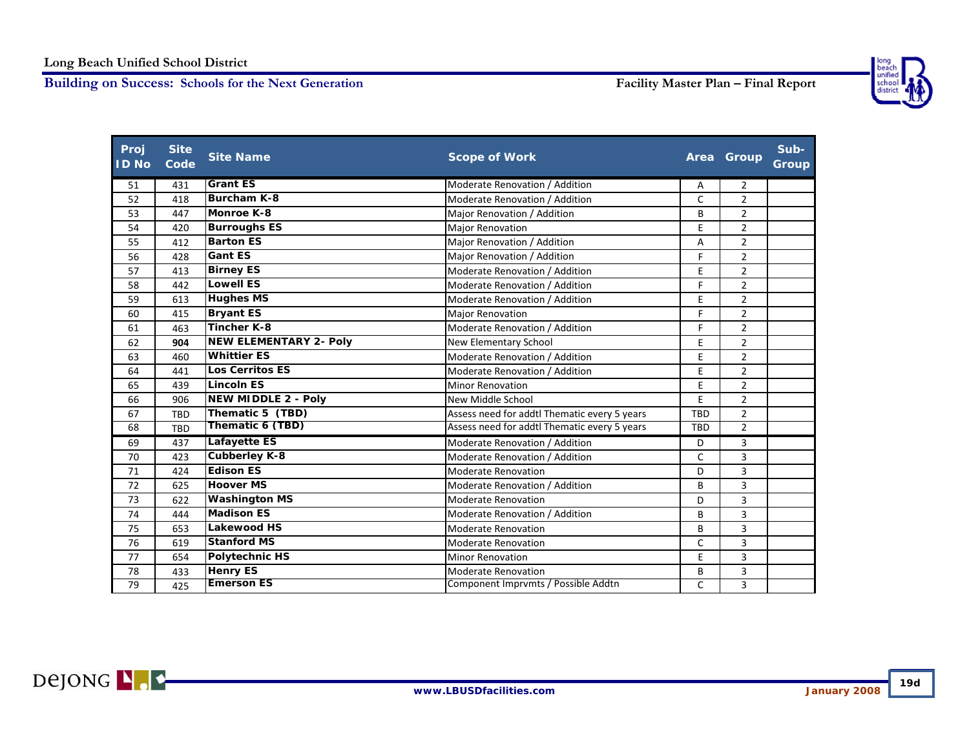

| Proj<br><b>ID No</b> | <b>Site</b><br>Code | <b>Site Name</b>              | <b>Scope of Work</b>                         |              | Area Group     | Sub-<br><b>Group</b> |
|----------------------|---------------------|-------------------------------|----------------------------------------------|--------------|----------------|----------------------|
| 51                   | 431                 | <b>Grant ES</b>               | Moderate Renovation / Addition               | Α            | 2              |                      |
| 52                   | 418                 | <b>Burcham K-8</b>            | Moderate Renovation / Addition               | C            | $\overline{2}$ |                      |
| 53                   | 447                 | <b>Monroe K-8</b>             | Major Renovation / Addition                  | B            | $\overline{2}$ |                      |
| 54                   | 420                 | <b>Burroughs ES</b>           | <b>Major Renovation</b>                      | E            | $\overline{2}$ |                      |
| 55                   | 412                 | <b>Barton ES</b>              | Major Renovation / Addition                  | A            | $\overline{2}$ |                      |
| 56                   | 428                 | <b>Gant ES</b>                | Major Renovation / Addition                  | F            | $\overline{2}$ |                      |
| 57                   | 413                 | <b>Birney ES</b>              | Moderate Renovation / Addition               | E            | $\overline{2}$ |                      |
| 58                   | 442                 | <b>Lowell ES</b>              | Moderate Renovation / Addition               | F            | $\overline{2}$ |                      |
| 59                   | 613                 | <b>Hughes MS</b>              | Moderate Renovation / Addition               | E            | $\overline{2}$ |                      |
| 60                   | 415                 | <b>Bryant ES</b>              | <b>Major Renovation</b>                      | F            | $\overline{2}$ |                      |
| 61                   | 463                 | <b>Tincher K-8</b>            | Moderate Renovation / Addition               | F            | $\overline{2}$ |                      |
| 62                   | 904                 | <b>NEW ELEMENTARY 2- Poly</b> | New Elementary School                        | E            | $\overline{2}$ |                      |
| 63                   | 460                 | <b>Whittier ES</b>            | Moderate Renovation / Addition               | E            | $\overline{2}$ |                      |
| 64                   | 441                 | <b>Los Cerritos ES</b>        | Moderate Renovation / Addition               | E            | $\overline{2}$ |                      |
| 65                   | 439                 | <b>Lincoln ES</b>             | <b>Minor Renovation</b>                      | E            | $\overline{2}$ |                      |
| 66                   | 906                 | <b>NEW MIDDLE 2 - Poly</b>    | New Middle School                            | E            | $\overline{2}$ |                      |
| 67                   | TBD                 | Thematic 5 (TBD)              | Assess need for addtl Thematic every 5 years | <b>TBD</b>   | $\overline{2}$ |                      |
| 68                   | <b>TBD</b>          | Thematic 6 (TBD)              | Assess need for addtl Thematic every 5 years | <b>TBD</b>   | $\overline{2}$ |                      |
| 69                   | 437                 | <b>Lafayette ES</b>           | Moderate Renovation / Addition               | D            | 3              |                      |
| 70                   | 423                 | <b>Cubberley K-8</b>          | Moderate Renovation / Addition               | $\mathsf{C}$ | 3              |                      |
| 71                   | 424                 | <b>Edison ES</b>              | <b>Moderate Renovation</b>                   | D            | 3              |                      |
| 72                   | 625                 | <b>Hoover MS</b>              | Moderate Renovation / Addition               | B            | 3              |                      |
| 73                   | 622                 | <b>Washington MS</b>          | <b>Moderate Renovation</b>                   | D            | 3              |                      |
| 74                   | 444                 | <b>Madison ES</b>             | Moderate Renovation / Addition               | B            | 3              |                      |
| 75                   | 653                 | <b>Lakewood HS</b>            | <b>Moderate Renovation</b>                   | B            | 3              |                      |
| 76                   | 619                 | <b>Stanford MS</b>            | <b>Moderate Renovation</b>                   | C            | $\overline{3}$ |                      |
| 77                   | 654                 | <b>Polytechnic HS</b>         | <b>Minor Renovation</b>                      | E            | 3              |                      |
| 78                   | 433                 | <b>Henry ES</b>               | <b>Moderate Renovation</b>                   | B            | 3              |                      |
| 79                   | 425                 | <b>Emerson ES</b>             | Component Imprymts / Possible Addtn          | C            | 3              |                      |